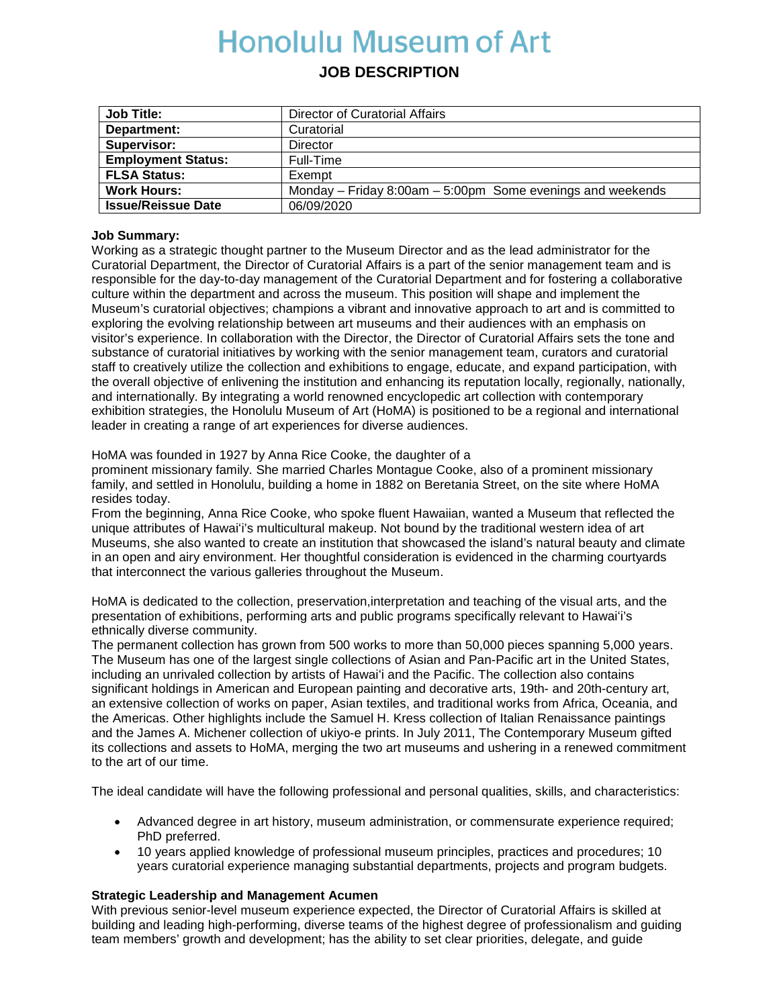# **Honolulu Museum of Art**

# **JOB DESCRIPTION**

| <b>Job Title:</b>         | Director of Curatorial Affairs                               |
|---------------------------|--------------------------------------------------------------|
| Department:               | Curatorial                                                   |
| Supervisor:               | Director                                                     |
| <b>Employment Status:</b> | Full-Time                                                    |
| <b>FLSA Status:</b>       | Exempt                                                       |
| <b>Work Hours:</b>        | Monday - Friday 8:00am $-$ 5:00pm Some evenings and weekends |
| <b>Issue/Reissue Date</b> | 06/09/2020                                                   |

### **Job Summary:**

Working as a strategic thought partner to the Museum Director and as the lead administrator for the Curatorial Department, the Director of Curatorial Affairs is a part of the senior management team and is responsible for the day-to-day management of the Curatorial Department and for fostering a collaborative culture within the department and across the museum. This position will shape and implement the Museum's curatorial objectives; champions a vibrant and innovative approach to art and is committed to exploring the evolving relationship between art museums and their audiences with an emphasis on visitor's experience. In collaboration with the Director, the Director of Curatorial Affairs sets the tone and substance of curatorial initiatives by working with the senior management team, curators and curatorial staff to creatively utilize the collection and exhibitions to engage, educate, and expand participation, with the overall objective of enlivening the institution and enhancing its reputation locally, regionally, nationally, and internationally. By integrating a world renowned encyclopedic art collection with contemporary exhibition strategies, the Honolulu Museum of Art (HoMA) is positioned to be a regional and international leader in creating a range of art experiences for diverse audiences.

HoMA was founded in 1927 by Anna Rice Cooke, the daughter of a

prominent missionary family. She married Charles Montague Cooke, also of a prominent missionary family, and settled in Honolulu, building a home in 1882 on Beretania Street, on the site where HoMA resides today.

From the beginning, Anna Rice Cooke, who spoke fluent Hawaiian, wanted a Museum that reflected the unique attributes of Hawaiʻi's multicultural makeup. Not bound by the traditional western idea of art Museums, she also wanted to create an institution that showcased the island's natural beauty and climate in an open and airy environment. Her thoughtful consideration is evidenced in the charming courtyards that interconnect the various galleries throughout the Museum.

HoMA is dedicated to the collection, preservation,interpretation and teaching of the visual arts, and the presentation of exhibitions, performing arts and public programs specifically relevant to Hawaiʻi's ethnically diverse community.

The permanent collection has grown from 500 works to more than 50,000 pieces spanning 5,000 years. The Museum has one of the largest single collections of Asian and Pan-Pacific art in the United States, including an unrivaled collection by artists of Hawaiʻi and the Pacific. The collection also contains significant holdings in American and European painting and decorative arts, 19th- and 20th-century art, an extensive collection of works on paper, Asian textiles, and traditional works from Africa, Oceania, and the Americas. Other highlights include the Samuel H. Kress collection of Italian Renaissance paintings and the James A. Michener collection of ukiyo-e prints. In July 2011, The Contemporary Museum gifted its collections and assets to HoMA, merging the two art museums and ushering in a renewed commitment to the art of our time.

The ideal candidate will have the following professional and personal qualities, skills, and characteristics:

- Advanced degree in art history, museum administration, or commensurate experience required; PhD preferred.
- 10 years applied knowledge of professional museum principles, practices and procedures; 10 years curatorial experience managing substantial departments, projects and program budgets.

# **Strategic Leadership and Management Acumen**

With previous senior-level museum experience expected, the Director of Curatorial Affairs is skilled at building and leading high-performing, diverse teams of the highest degree of professionalism and guiding team members' growth and development; has the ability to set clear priorities, delegate, and guide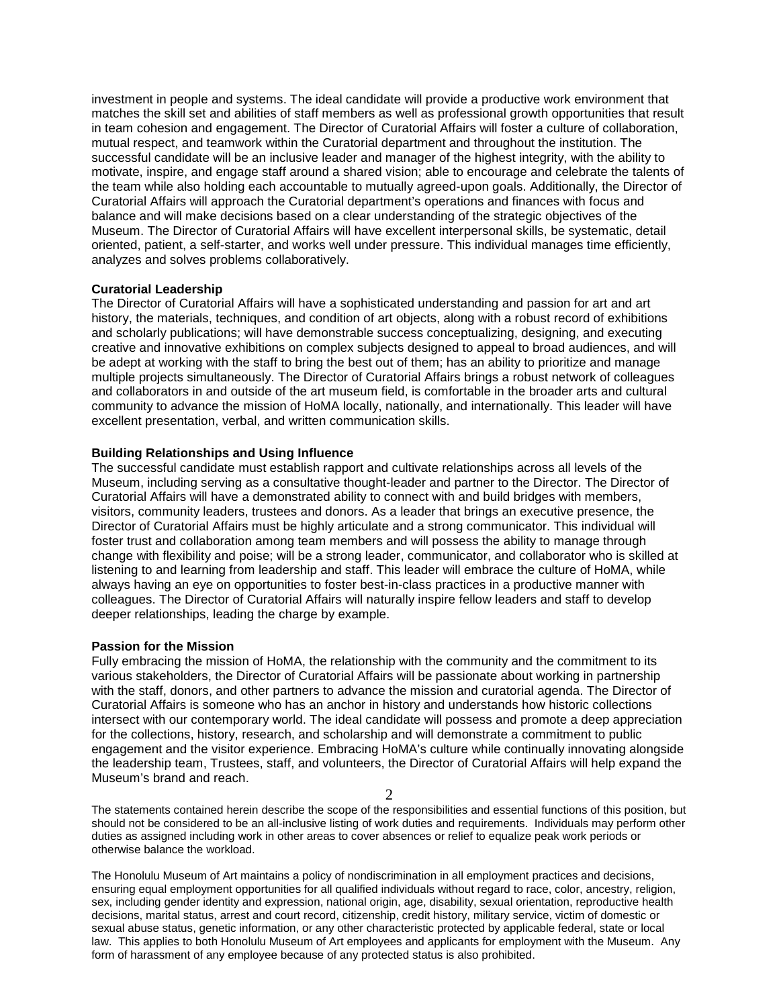investment in people and systems. The ideal candidate will provide a productive work environment that matches the skill set and abilities of staff members as well as professional growth opportunities that result in team cohesion and engagement. The Director of Curatorial Affairs will foster a culture of collaboration, mutual respect, and teamwork within the Curatorial department and throughout the institution. The successful candidate will be an inclusive leader and manager of the highest integrity, with the ability to motivate, inspire, and engage staff around a shared vision; able to encourage and celebrate the talents of the team while also holding each accountable to mutually agreed-upon goals. Additionally, the Director of Curatorial Affairs will approach the Curatorial department's operations and finances with focus and balance and will make decisions based on a clear understanding of the strategic objectives of the Museum. The Director of Curatorial Affairs will have excellent interpersonal skills, be systematic, detail oriented, patient, a self-starter, and works well under pressure. This individual manages time efficiently, analyzes and solves problems collaboratively.

#### **Curatorial Leadership**

The Director of Curatorial Affairs will have a sophisticated understanding and passion for art and art history, the materials, techniques, and condition of art objects, along with a robust record of exhibitions and scholarly publications; will have demonstrable success conceptualizing, designing, and executing creative and innovative exhibitions on complex subjects designed to appeal to broad audiences, and will be adept at working with the staff to bring the best out of them; has an ability to prioritize and manage multiple projects simultaneously. The Director of Curatorial Affairs brings a robust network of colleagues and collaborators in and outside of the art museum field, is comfortable in the broader arts and cultural community to advance the mission of HoMA locally, nationally, and internationally. This leader will have excellent presentation, verbal, and written communication skills.

#### **Building Relationships and Using Influence**

The successful candidate must establish rapport and cultivate relationships across all levels of the Museum, including serving as a consultative thought-leader and partner to the Director. The Director of Curatorial Affairs will have a demonstrated ability to connect with and build bridges with members, visitors, community leaders, trustees and donors. As a leader that brings an executive presence, the Director of Curatorial Affairs must be highly articulate and a strong communicator. This individual will foster trust and collaboration among team members and will possess the ability to manage through change with flexibility and poise; will be a strong leader, communicator, and collaborator who is skilled at listening to and learning from leadership and staff. This leader will embrace the culture of HoMA, while always having an eye on opportunities to foster best-in-class practices in a productive manner with colleagues. The Director of Curatorial Affairs will naturally inspire fellow leaders and staff to develop deeper relationships, leading the charge by example.

#### **Passion for the Mission**

Fully embracing the mission of HoMA, the relationship with the community and the commitment to its various stakeholders, the Director of Curatorial Affairs will be passionate about working in partnership with the staff, donors, and other partners to advance the mission and curatorial agenda. The Director of Curatorial Affairs is someone who has an anchor in history and understands how historic collections intersect with our contemporary world. The ideal candidate will possess and promote a deep appreciation for the collections, history, research, and scholarship and will demonstrate a commitment to public engagement and the visitor experience. Embracing HoMA's culture while continually innovating alongside the leadership team, Trustees, staff, and volunteers, the Director of Curatorial Affairs will help expand the Museum's brand and reach.

2

The statements contained herein describe the scope of the responsibilities and essential functions of this position, but should not be considered to be an all-inclusive listing of work duties and requirements. Individuals may perform other duties as assigned including work in other areas to cover absences or relief to equalize peak work periods or otherwise balance the workload.

The Honolulu Museum of Art maintains a policy of nondiscrimination in all employment practices and decisions, ensuring equal employment opportunities for all qualified individuals without regard to race, color, ancestry, religion, sex, including gender identity and expression, national origin, age, disability, sexual orientation, reproductive health decisions, marital status, arrest and court record, citizenship, credit history, military service, victim of domestic or sexual abuse status, genetic information, or any other characteristic protected by applicable federal, state or local law. This applies to both Honolulu Museum of Art employees and applicants for employment with the Museum. Any form of harassment of any employee because of any protected status is also prohibited.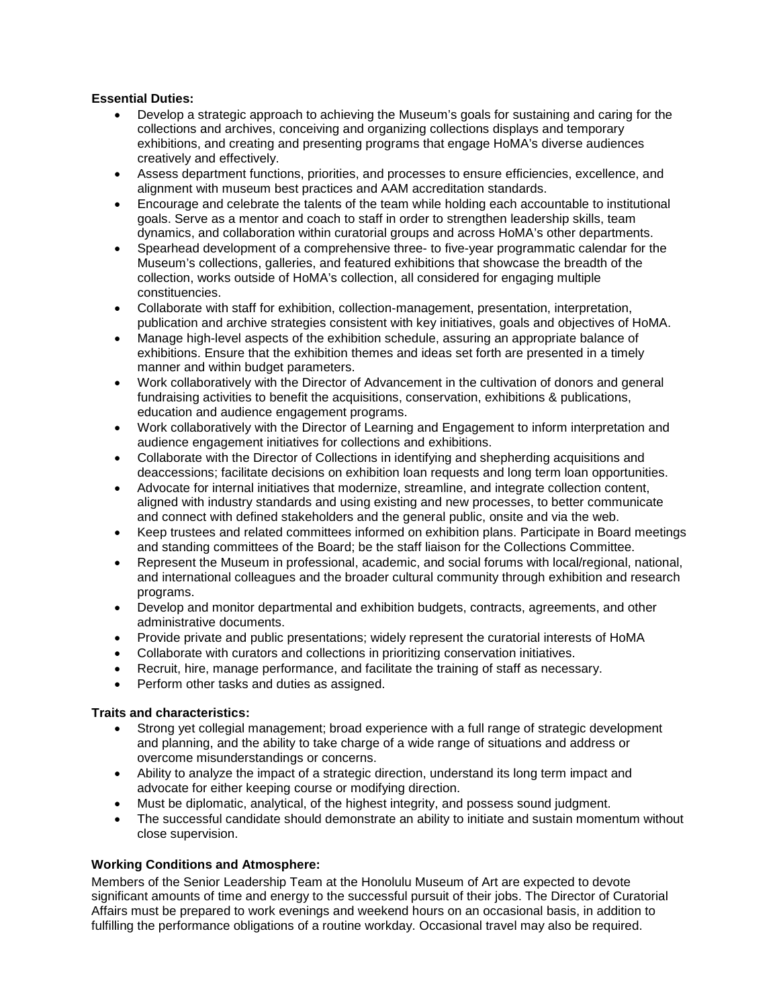# **Essential Duties:**

- Develop a strategic approach to achieving the Museum's goals for sustaining and caring for the collections and archives, conceiving and organizing collections displays and temporary exhibitions, and creating and presenting programs that engage HoMA's diverse audiences creatively and effectively.
- Assess department functions, priorities, and processes to ensure efficiencies, excellence, and alignment with museum best practices and AAM accreditation standards.
- Encourage and celebrate the talents of the team while holding each accountable to institutional goals. Serve as a mentor and coach to staff in order to strengthen leadership skills, team dynamics, and collaboration within curatorial groups and across HoMA's other departments.
- Spearhead development of a comprehensive three- to five-year programmatic calendar for the Museum's collections, galleries, and featured exhibitions that showcase the breadth of the collection, works outside of HoMA's collection, all considered for engaging multiple constituencies.
- Collaborate with staff for exhibition, collection-management, presentation, interpretation, publication and archive strategies consistent with key initiatives, goals and objectives of HoMA.
- Manage high-level aspects of the exhibition schedule, assuring an appropriate balance of exhibitions. Ensure that the exhibition themes and ideas set forth are presented in a timely manner and within budget parameters.
- Work collaboratively with the Director of Advancement in the cultivation of donors and general fundraising activities to benefit the acquisitions, conservation, exhibitions & publications, education and audience engagement programs.
- Work collaboratively with the Director of Learning and Engagement to inform interpretation and audience engagement initiatives for collections and exhibitions.
- Collaborate with the Director of Collections in identifying and shepherding acquisitions and deaccessions; facilitate decisions on exhibition loan requests and long term loan opportunities.
- Advocate for internal initiatives that modernize, streamline, and integrate collection content, aligned with industry standards and using existing and new processes, to better communicate and connect with defined stakeholders and the general public, onsite and via the web.
- Keep trustees and related committees informed on exhibition plans. Participate in Board meetings and standing committees of the Board; be the staff liaison for the Collections Committee.
- Represent the Museum in professional, academic, and social forums with local/regional, national, and international colleagues and the broader cultural community through exhibition and research programs.
- Develop and monitor departmental and exhibition budgets, contracts, agreements, and other administrative documents.
- Provide private and public presentations; widely represent the curatorial interests of HoMA
- Collaborate with curators and collections in prioritizing conservation initiatives.
- Recruit, hire, manage performance, and facilitate the training of staff as necessary.
- Perform other tasks and duties as assigned.

# **Traits and characteristics:**

- Strong yet collegial management; broad experience with a full range of strategic development and planning, and the ability to take charge of a wide range of situations and address or overcome misunderstandings or concerns.
- Ability to analyze the impact of a strategic direction, understand its long term impact and advocate for either keeping course or modifying direction.
- Must be diplomatic, analytical, of the highest integrity, and possess sound judgment.
- The successful candidate should demonstrate an ability to initiate and sustain momentum without close supervision.

#### **Working Conditions and Atmosphere:**

Members of the Senior Leadership Team at the Honolulu Museum of Art are expected to devote significant amounts of time and energy to the successful pursuit of their jobs. The Director of Curatorial Affairs must be prepared to work evenings and weekend hours on an occasional basis, in addition to fulfilling the performance obligations of a routine workday. Occasional travel may also be required.